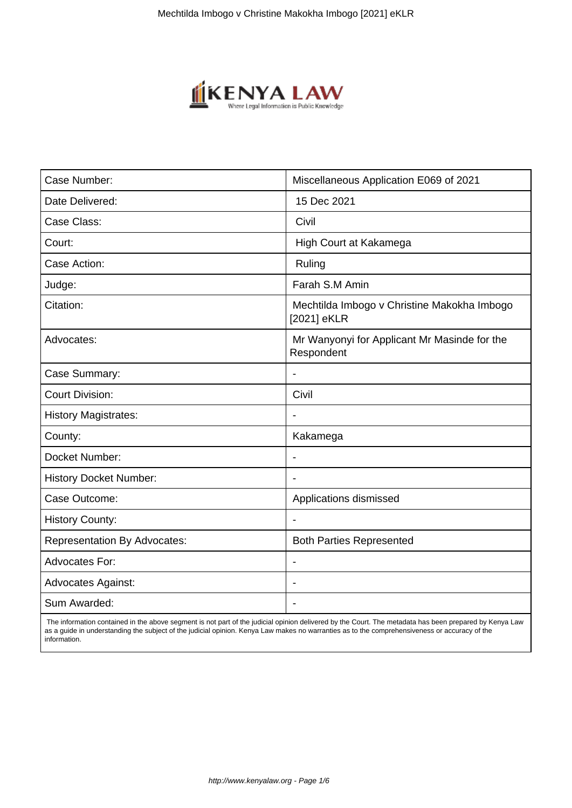

| Case Number:                        | Miscellaneous Application E069 of 2021                     |
|-------------------------------------|------------------------------------------------------------|
| Date Delivered:                     | 15 Dec 2021                                                |
| Case Class:                         | Civil                                                      |
| Court:                              | High Court at Kakamega                                     |
| Case Action:                        | Ruling                                                     |
| Judge:                              | Farah S.M Amin                                             |
| Citation:                           | Mechtilda Imbogo v Christine Makokha Imbogo<br>[2021] eKLR |
| Advocates:                          | Mr Wanyonyi for Applicant Mr Masinde for the<br>Respondent |
| Case Summary:                       | $\overline{\phantom{a}}$                                   |
| <b>Court Division:</b>              | Civil                                                      |
| <b>History Magistrates:</b>         |                                                            |
| County:                             | Kakamega                                                   |
| Docket Number:                      | $\blacksquare$                                             |
| <b>History Docket Number:</b>       |                                                            |
| Case Outcome:                       | Applications dismissed                                     |
| <b>History County:</b>              |                                                            |
| <b>Representation By Advocates:</b> | <b>Both Parties Represented</b>                            |
| <b>Advocates For:</b>               |                                                            |
| <b>Advocates Against:</b>           |                                                            |
| Sum Awarded:                        |                                                            |

 The information contained in the above segment is not part of the judicial opinion delivered by the Court. The metadata has been prepared by Kenya Law as a guide in understanding the subject of the judicial opinion. Kenya Law makes no warranties as to the comprehensiveness or accuracy of the information.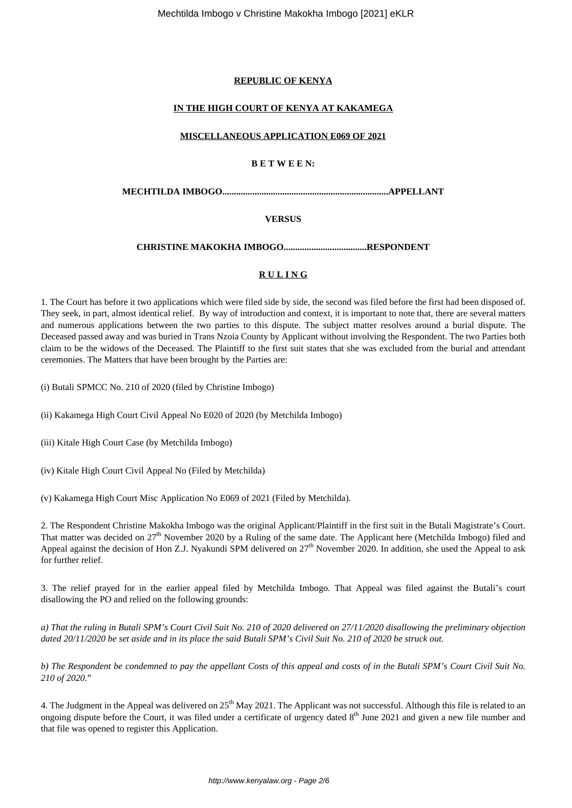## **REPUBLIC OF KENYA**

## **IN THE HIGH COURT OF KENYA AT KAKAMEGA**

### **MISCELLANEOUS APPLICATION E069 OF 2021**

## **B E T W E E N:**

**MECHTILDA IMBOGO........................................................................APPELLANT**

## **VERSUS**

## **CHRISTINE MAKOKHA IMBOGO....................................RESPONDENT**

# **R U L I N G**

1. The Court has before it two applications which were filed side by side, the second was filed before the first had been disposed of. They seek, in part, almost identical relief. By way of introduction and context, it is important to note that, there are several matters and numerous applications between the two parties to this dispute. The subject matter resolves around a burial dispute. The Deceased passed away and was buried in Trans Nzoia County by Applicant without involving the Respondent. The two Parties both claim to be the widows of the Deceased. The Plaintiff to the first suit states that she was excluded from the burial and attendant ceremonies. The Matters that have been brought by the Parties are:

(i) Butali SPMCC No. 210 of 2020 (filed by Christine Imbogo)

(ii) Kakamega High Court Civil Appeal No E020 of 2020 (by Metchilda Imbogo)

(iii) Kitale High Court Case (by Metchilda Imbogo)

(iv) Kitale High Court Civil Appeal No (Filed by Metchilda)

(v) Kakamega High Court Misc Application No E069 of 2021 (Filed by Metchilda).

2. The Respondent Christine Makokha Imbogo was the original Applicant/Plaintiff in the first suit in the Butali Magistrate's Court. That matter was decided on  $27<sup>th</sup>$  November 2020 by a Ruling of the same date. The Applicant here (Metchilda Imbogo) filed and Appeal against the decision of Hon Z.J. Nyakundi SPM delivered on  $27<sup>th</sup>$  November 2020. In addition, she used the Appeal to ask for further relief.

3. The relief prayed for in the earlier appeal filed by Metchilda Imbogo. That Appeal was filed against the Butali's court disallowing the PO and relied on the following grounds:

*a) That the ruling in Butali SPM's Court Civil Suit No. 210 of 2020 delivered on 27/11/2020 disallowing the preliminary objection dated 20/11/2020 be set aside and in its place the said Butali SPM's Civil Suit No. 210 of 2020 be struck out.*

*b) The Respondent be condemned to pay the appellant Costs of this appeal and costs of in the Butali SPM's Court Civil Suit No. 210 of 2020.*"

4. The Judgment in the Appeal was delivered on 25<sup>th</sup> May 2021. The Applicant was not successful. Although this file is related to an ongoing dispute before the Court, it was filed under a certificate of urgency dated  $8<sup>th</sup>$  June 2021 and given a new file number and that file was opened to register this Application.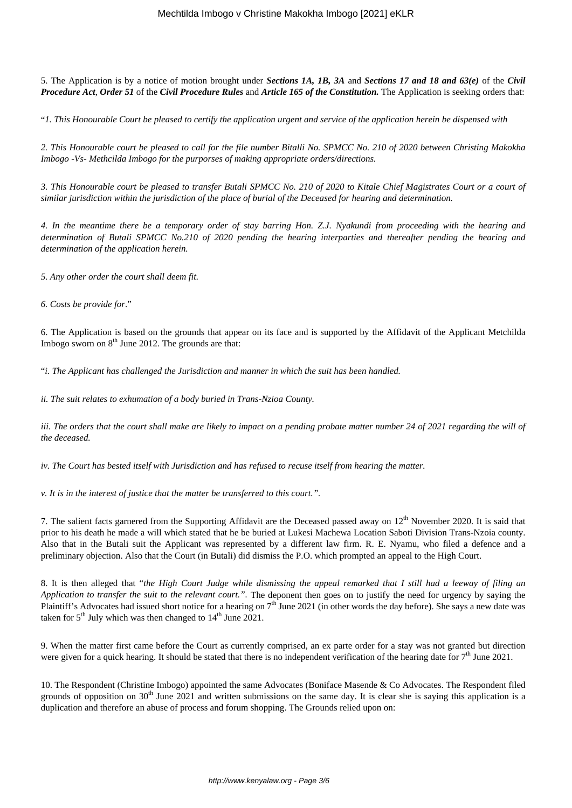5. The Application is by a notice of motion brought under *Sections 1A, 1B, 3A* and *Sections 17 and 18 and 63(e)* of the *Civil Procedure Act*, *Order 51* of the *Civil Procedure Rules* and *Article 165 of the Constitution.* The Application is seeking orders that:

"*1. This Honourable Court be pleased to certify the application urgent and service of the application herein be dispensed with*

*2. This Honourable court be pleased to call for the file number Bitalli No. SPMCC No. 210 of 2020 between Christing Makokha Imbogo -Vs- Methcilda Imbogo for the purporses of making appropriate orders/directions.*

*3. This Honourable court be pleased to transfer Butali SPMCC No. 210 of 2020 to Kitale Chief Magistrates Court or a court of similar jurisdiction within the jurisdiction of the place of burial of the Deceased for hearing and determination.*

*4. In the meantime there be a temporary order of stay barring Hon. Z.J. Nyakundi from proceeding with the hearing and determination of Butali SPMCC No.210 of 2020 pending the hearing interparties and thereafter pending the hearing and determination of the application herein.*

*5. Any other order the court shall deem fit.*

*6. Costs be provide for*."

6. The Application is based on the grounds that appear on its face and is supported by the Affidavit of the Applicant Metchilda Imbogo sworn on  $8<sup>th</sup>$  June 2012. The grounds are that:

"*i. The Applicant has challenged the Jurisdiction and manner in which the suit has been handled.*

*ii. The suit relates to exhumation of a body buried in Trans-Nzioa County.*

*iii. The orders that the court shall make are likely to impact on a pending probate matter number 24 of 2021 regarding the will of the deceased.*

*iv. The Court has bested itself with Jurisdiction and has refused to recuse itself from hearing the matter.*

*v. It is in the interest of justice that the matter be transferred to this court.".*

7. The salient facts garnered from the Supporting Affidavit are the Deceased passed away on  $12<sup>th</sup>$  November 2020. It is said that prior to his death he made a will which stated that he be buried at Lukesi Machewa Location Saboti Division Trans-Nzoia county. Also that in the Butali suit the Applicant was represented by a different law firm. R. E. Nyamu, who filed a defence and a preliminary objection. Also that the Court (in Butali) did dismiss the P.O. which prompted an appeal to the High Court.

8. It is then alleged that "*the High Court Judge while dismissing the appeal remarked that I still had a leeway of filing an Application to transfer the suit to the relevant court.*". The deponent then goes on to justify the need for urgency by saying the Plaintiff's Advocates had issued short notice for a hearing on  $7<sup>th</sup>$  June 2021 (in other words the day before). She says a new date was taken for  $5<sup>th</sup>$  July which was then changed to  $14<sup>th</sup>$  June 2021.

9. When the matter first came before the Court as currently comprised, an ex parte order for a stay was not granted but direction were given for a quick hearing. It should be stated that there is no independent verification of the hearing date for  $7<sup>th</sup>$  June 2021.

10. The Respondent (Christine Imbogo) appointed the same Advocates (Boniface Masende & Co Advocates. The Respondent filed grounds of opposition on 30<sup>th</sup> June 2021 and written submissions on the same day. It is clear she is saying this application is a duplication and therefore an abuse of process and forum shopping. The Grounds relied upon on: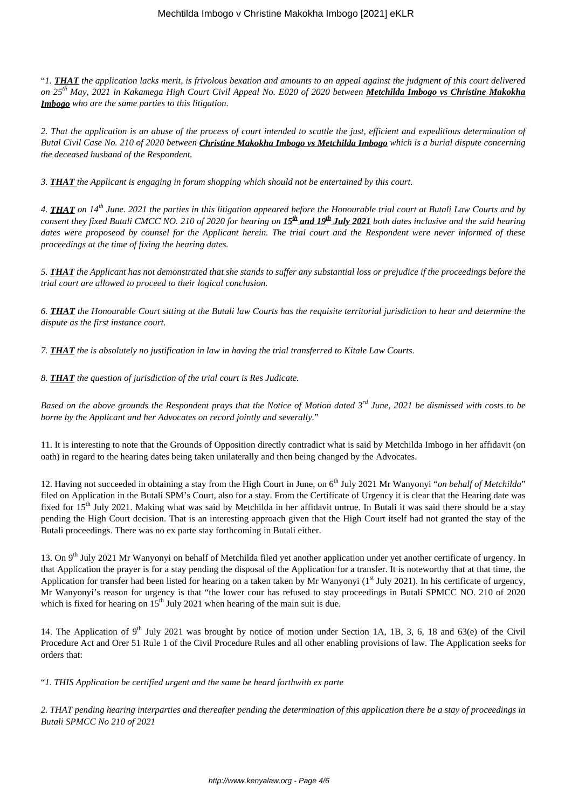"*1. THAT the application lacks merit, is frivolous bexation and amounts to an appeal against the judgment of this court delivered on 25th May, 2021 in Kakamega High Court Civil Appeal No. E020 of 2020 between Metchilda Imbogo vs Christine Makokha Imbogo who are the same parties to this litigation.*

*2. That the application is an abuse of the process of court intended to scuttle the just, efficient and expeditious determination of Butal Civil Case No. 210 of 2020 between Christine Makokha Imbogo vs Metchilda Imbogo which is a burial dispute concerning the deceased husband of the Respondent.*

*3. THAT the Applicant is engaging in forum shopping which should not be entertained by this court.*

*4. THAT on 14th June. 2021 the parties in this litigation appeared before the Honourable trial court at Butali Law Courts and by consent they fixed Butali CMCC NO. 210 of 2020 for hearing on 15th and 19th July 2021 both dates inclusive and the said hearing dates were proposeod by counsel for the Applicant herein. The trial court and the Respondent were never informed of these proceedings at the time of fixing the hearing dates.*

*5. THAT the Applicant has not demonstrated that she stands to suffer any substantial loss or prejudice if the proceedings before the trial court are allowed to proceed to their logical conclusion.*

*6. THAT the Honourable Court sitting at the Butali law Courts has the requisite territorial jurisdiction to hear and determine the dispute as the first instance court.* 

*7. THAT the is absolutely no justification in law in having the trial transferred to Kitale Law Courts.*

*8. THAT the question of jurisdiction of the trial court is Res Judicate.*

*Based on the above grounds the Respondent prays that the Notice of Motion dated 3rd June, 2021 be dismissed with costs to be borne by the Applicant and her Advocates on record jointly and severally.*"

11. It is interesting to note that the Grounds of Opposition directly contradict what is said by Metchilda Imbogo in her affidavit (on oath) in regard to the hearing dates being taken unilaterally and then being changed by the Advocates.

12. Having not succeeded in obtaining a stay from the High Court in June, on 6<sup>th</sup> July 2021 Mr Wanyonyi "*on behalf of Metchilda*" filed on Application in the Butali SPM's Court, also for a stay. From the Certificate of Urgency it is clear that the Hearing date was fixed for 15<sup>th</sup> July 2021. Making what was said by Metchilda in her affidavit untrue. In Butali it was said there should be a stay pending the High Court decision. That is an interesting approach given that the High Court itself had not granted the stay of the Butali proceedings. There was no ex parte stay forthcoming in Butali either.

13. On 9<sup>th</sup> July 2021 Mr Wanyonyi on behalf of Metchilda filed yet another application under yet another certificate of urgency. In that Application the prayer is for a stay pending the disposal of the Application for a transfer. It is noteworthy that at that time, the Application for transfer had been listed for hearing on a taken taken by Mr Wanyonyi  $(1<sup>st</sup>$  July 2021). In his certificate of urgency, Mr Wanyonyi's reason for urgency is that "the lower cour has refused to stay proceedings in Butali SPMCC NO. 210 of 2020 which is fixed for hearing on  $15<sup>th</sup>$  July 2021 when hearing of the main suit is due.

14. The Application of  $9<sup>th</sup>$  July 2021 was brought by notice of motion under Section 1A, 1B, 3, 6, 18 and 63(e) of the Civil Procedure Act and Orer 51 Rule 1 of the Civil Procedure Rules and all other enabling provisions of law. The Application seeks for orders that:

"*1. THIS Application be certified urgent and the same be heard forthwith ex parte*

*2. THAT pending hearing interparties and thereafter pending the determination of this application there be a stay of proceedings in Butali SPMCC No 210 of 2021*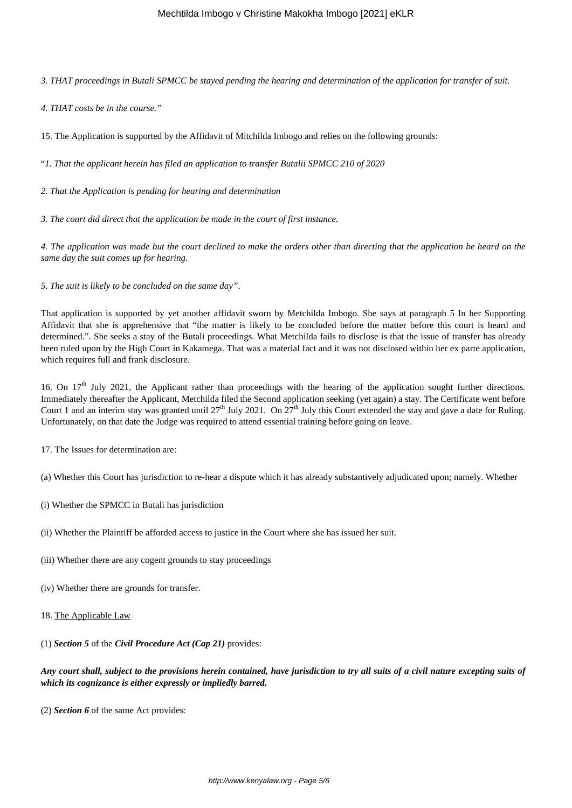*3. THAT proceedings in Butali SPMCC be stayed pending the hearing and determination of the application for transfer of suit.*

*4. THAT costs be in the course."*

15. The Application is supported by the Affidavit of Mitchilda Imbogo and relies on the following grounds:

"*1. That the applicant herein has filed an application to transfer Butalii SPMCC 210 of 2020* 

*2. That the Application is pending for hearing and determination*

*3. The court did direct that the application be made in the court of first instance.*

*4. The application was made but the court declined to make the orders other than directing that the application be heard on the same day the suit comes up for hearing.*

*5. The suit is likely to be concluded on the same day"*.

That application is supported by yet another affidavit sworn by Metchilda Imbogo. She says at paragraph 5 In her Supporting Affidavit that she is apprehensive that "the matter is likely to be concluded before the matter before this court is heard and determined.". She seeks a stay of the Butali proceedings. What Metchilda fails to disclose is that the issue of transfer has already been ruled upon by the High Court in Kakamega. That was a material fact and it was not disclosed within her ex parte application, which requires full and frank disclosure.

16. On 17<sup>th</sup> July 2021, the Applicant rather than proceedings with the hearing of the application sought further directions. Immediately thereafter the Applicant, Metchilda filed the Second application seeking (yet again) a stay. The Certificate went before Court 1 and an interim stay was granted until  $27<sup>th</sup>$  July 2021. On  $27<sup>th</sup>$  July this Court extended the stay and gave a date for Ruling. Unfortunately, on that date the Judge was required to attend essential training before going on leave.

17. The Issues for determination are:

(a) Whether this Court has jurisdiction to re-hear a dispute which it has already substantively adjudicated upon; namely. Whether

- (i) Whether the SPMCC in Butali has jurisdiction
- (ii) Whether the Plaintiff be afforded access to justice in the Court where she has issued her suit.
- (iii) Whether there are any cogent grounds to stay proceedings
- (iv) Whether there are grounds for transfer.
- 18. The Applicable Law

(1) *Section 5* of the *Civil Procedure Act (Cap 21)* provides:

*Any court shall, subject to the provisions herein contained, have jurisdiction to try all suits of a civil nature excepting suits of which its cognizance is either expressly or impliedly barred.*

(2) *Section 6* of the same Act provides: